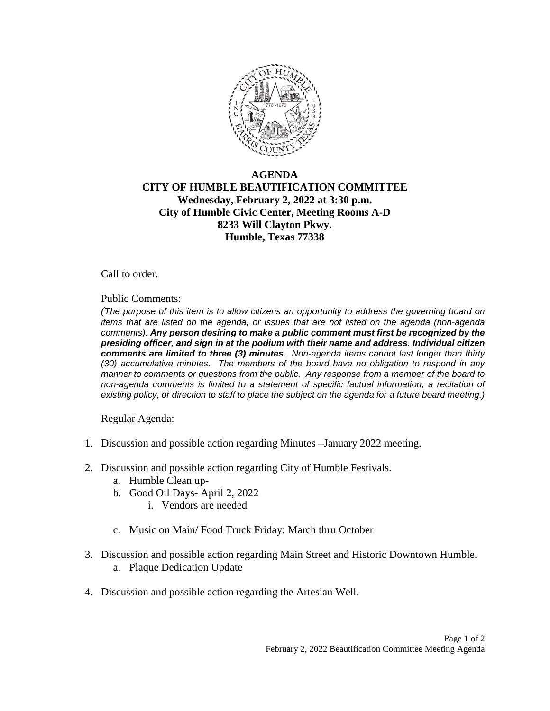

## **AGENDA CITY OF HUMBLE BEAUTIFICATION COMMITTEE Wednesday, February 2, 2022 at 3:30 p.m. City of Humble Civic Center, Meeting Rooms A-D 8233 Will Clayton Pkwy. Humble, Texas 77338**

Call to order.

Public Comments:

*(The purpose of this item is to allow citizens an opportunity to address the governing board on items that are listed on the agenda, or issues that are not listed on the agenda (non-agenda comments). Any person desiring to make a public comment must first be recognized by the presiding officer, and sign in at the podium with their name and address. Individual citizen comments are limited to three (3) minutes. Non-agenda items cannot last longer than thirty (30) accumulative minutes. The members of the board have no obligation to respond in any manner to comments or questions from the public. Any response from a member of the board to non-agenda comments is limited to a statement of specific factual information, a recitation of existing policy, or direction to staff to place the subject on the agenda for a future board meeting.)* 

Regular Agenda:

- 1. Discussion and possible action regarding Minutes –January 2022 meeting.
- 2. Discussion and possible action regarding City of Humble Festivals.
	- a. Humble Clean up-
	- b. Good Oil Days- April 2, 2022
		- i. Vendors are needed
	- c. Music on Main/ Food Truck Friday: March thru October
- 3. Discussion and possible action regarding Main Street and Historic Downtown Humble. a. Plaque Dedication Update
- 4. Discussion and possible action regarding the Artesian Well.